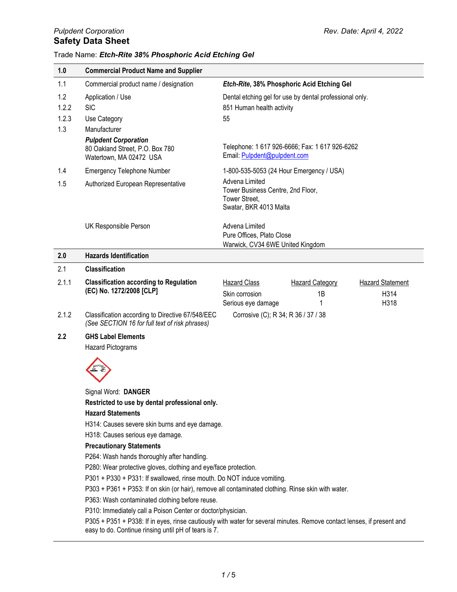| 1.0                          | <b>Commercial Product Name and Supplier</b>                                                                                                                                                                                                                                                                                                  |                                                                                                |                                                         |                                         |
|------------------------------|----------------------------------------------------------------------------------------------------------------------------------------------------------------------------------------------------------------------------------------------------------------------------------------------------------------------------------------------|------------------------------------------------------------------------------------------------|---------------------------------------------------------|-----------------------------------------|
| 1.1                          | Commercial product name / designation                                                                                                                                                                                                                                                                                                        |                                                                                                | Etch-Rite, 38% Phosphoric Acid Etching Gel              |                                         |
| 1.2<br>1.2.2<br>1.2.3<br>1.3 | Application / Use<br><b>SIC</b><br>Use Category<br>Manufacturer                                                                                                                                                                                                                                                                              | 851 Human health activity<br>55                                                                | Dental etching gel for use by dental professional only. |                                         |
|                              | <b>Pulpdent Corporation</b><br>80 Oakland Street, P.O. Box 780<br>Watertown, MA 02472 USA                                                                                                                                                                                                                                                    | Email: Pulpdent@pulpdent.com                                                                   | Telephone: 1 617 926-6666; Fax: 1 617 926-6262          |                                         |
| 1.4                          | <b>Emergency Telephone Number</b>                                                                                                                                                                                                                                                                                                            | 1-800-535-5053 (24 Hour Emergency / USA)                                                       |                                                         |                                         |
| 1.5                          | Authorized European Representative                                                                                                                                                                                                                                                                                                           | Advena Limited<br>Tower Business Centre, 2nd Floor,<br>Tower Street,<br>Swatar, BKR 4013 Malta |                                                         |                                         |
|                              | UK Responsible Person                                                                                                                                                                                                                                                                                                                        | Advena Limited<br>Pure Offices, Plato Close<br>Warwick, CV34 6WE United Kingdom                |                                                         |                                         |
| 2.0                          | <b>Hazards Identification</b>                                                                                                                                                                                                                                                                                                                |                                                                                                |                                                         |                                         |
| 2.1                          | <b>Classification</b>                                                                                                                                                                                                                                                                                                                        |                                                                                                |                                                         |                                         |
| 2.1.1                        | <b>Classification according to Regulation</b><br>(EC) No. 1272/2008 [CLP]                                                                                                                                                                                                                                                                    | <b>Hazard Class</b><br>Skin corrosion<br>Serious eye damage                                    | <b>Hazard Category</b><br>1B<br>1                       | <b>Hazard Statement</b><br>H314<br>H318 |
| 2.1.2                        | Classification according to Directive 67/548/EEC<br>(See SECTION 16 for full text of risk phrases)                                                                                                                                                                                                                                           | Corrosive (C); R 34; R 36 / 37 / 38                                                            |                                                         |                                         |
| 2.2                          | <b>GHS Label Elements</b><br><b>Hazard Pictograms</b>                                                                                                                                                                                                                                                                                        |                                                                                                |                                                         |                                         |
|                              |                                                                                                                                                                                                                                                                                                                                              |                                                                                                |                                                         |                                         |
|                              | Signal Word: DANGER<br>Restricted to use by dental professional only.                                                                                                                                                                                                                                                                        |                                                                                                |                                                         |                                         |
|                              | <b>Hazard Statements</b><br>H314: Causes severe skin burns and eye damage.                                                                                                                                                                                                                                                                   |                                                                                                |                                                         |                                         |
|                              | H318: Causes serious eye damage.                                                                                                                                                                                                                                                                                                             |                                                                                                |                                                         |                                         |
|                              | <b>Precautionary Statements</b>                                                                                                                                                                                                                                                                                                              |                                                                                                |                                                         |                                         |
|                              | P264: Wash hands thoroughly after handling.                                                                                                                                                                                                                                                                                                  |                                                                                                |                                                         |                                         |
|                              | P280: Wear protective gloves, clothing and eye/face protection.                                                                                                                                                                                                                                                                              |                                                                                                |                                                         |                                         |
|                              | P301 + P330 + P331: If swallowed, rinse mouth. Do NOT induce vomiting.                                                                                                                                                                                                                                                                       |                                                                                                |                                                         |                                         |
|                              | P303 + P361 + P353: If on skin (or hair), remove all contaminated clothing. Rinse skin with water.<br>P363: Wash contaminated clothing before reuse.<br>P310: Immediately call a Poison Center or doctor/physician.<br>$D305 + D351 + D338$ If in over ringe cautiously with water for several minutes. Demove contact lenses if prosent and |                                                                                                |                                                         |                                         |
|                              |                                                                                                                                                                                                                                                                                                                                              |                                                                                                |                                                         |                                         |
|                              |                                                                                                                                                                                                                                                                                                                                              |                                                                                                |                                                         |                                         |

P305 + P351 + P338: If in eyes, rinse cautiously with water for several minutes. Remove contact lenses, if present and easy to do. Continue rinsing until pH of tears is 7.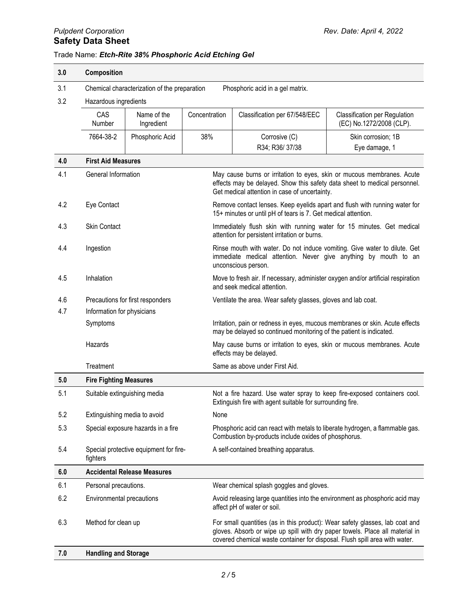# *Pulpdent Corporation Rev. Date: April 4, 2022* **Safety Data Sheet**

| 3.0                          | Composition                        |                                                                                  |                                                                                                                                                                                                      |                                                                                                                                                     |                                                                                                                                                              |  |
|------------------------------|------------------------------------|----------------------------------------------------------------------------------|------------------------------------------------------------------------------------------------------------------------------------------------------------------------------------------------------|-----------------------------------------------------------------------------------------------------------------------------------------------------|--------------------------------------------------------------------------------------------------------------------------------------------------------------|--|
| 3.1                          |                                    | Chemical characterization of the preparation<br>Phosphoric acid in a gel matrix. |                                                                                                                                                                                                      |                                                                                                                                                     |                                                                                                                                                              |  |
| 3.2<br>Hazardous ingredients |                                    |                                                                                  |                                                                                                                                                                                                      |                                                                                                                                                     |                                                                                                                                                              |  |
|                              | CAS<br>Number                      | Name of the<br>Ingredient                                                        | Concentration                                                                                                                                                                                        | Classification per 67/548/EEC                                                                                                                       | Classification per Regulation<br>(EC) No.1272/2008 (CLP).                                                                                                    |  |
|                              | 7664-38-2                          | Phosphoric Acid                                                                  | 38%                                                                                                                                                                                                  | Corrosive (C)                                                                                                                                       | Skin corrosion; 1B                                                                                                                                           |  |
|                              |                                    |                                                                                  |                                                                                                                                                                                                      | R34; R36/37/38                                                                                                                                      | Eye damage, 1                                                                                                                                                |  |
| 4.0                          | <b>First Aid Measures</b>          |                                                                                  |                                                                                                                                                                                                      |                                                                                                                                                     |                                                                                                                                                              |  |
| 4.1                          | General Information                |                                                                                  | May cause burns or irritation to eyes, skin or mucous membranes. Acute<br>effects may be delayed. Show this safety data sheet to medical personnel.<br>Get medical attention in case of uncertainty. |                                                                                                                                                     |                                                                                                                                                              |  |
| 4.2                          | Eye Contact                        |                                                                                  | Remove contact lenses. Keep eyelids apart and flush with running water for<br>15+ minutes or until pH of tears is 7. Get medical attention.                                                          |                                                                                                                                                     |                                                                                                                                                              |  |
| 4.3                          | <b>Skin Contact</b>                |                                                                                  | Immediately flush skin with running water for 15 minutes. Get medical<br>attention for persistent irritation or burns.                                                                               |                                                                                                                                                     |                                                                                                                                                              |  |
| 4.4                          | Ingestion                          |                                                                                  | Rinse mouth with water. Do not induce vomiting. Give water to dilute. Get<br>immediate medical attention. Never give anything by mouth to an<br>unconscious person.                                  |                                                                                                                                                     |                                                                                                                                                              |  |
| 4.5                          | Inhalation                         |                                                                                  | Move to fresh air. If necessary, administer oxygen and/or artificial respiration<br>and seek medical attention.                                                                                      |                                                                                                                                                     |                                                                                                                                                              |  |
| 4.6                          |                                    | Precautions for first responders                                                 | Ventilate the area. Wear safety glasses, gloves and lab coat.                                                                                                                                        |                                                                                                                                                     |                                                                                                                                                              |  |
| 4.7                          | Information for physicians         |                                                                                  |                                                                                                                                                                                                      |                                                                                                                                                     |                                                                                                                                                              |  |
|                              | Symptoms                           |                                                                                  |                                                                                                                                                                                                      | Irritation, pain or redness in eyes, mucous membranes or skin. Acute effects<br>may be delayed so continued monitoring of the patient is indicated. |                                                                                                                                                              |  |
|                              | Hazards                            |                                                                                  |                                                                                                                                                                                                      | effects may be delayed.                                                                                                                             | May cause burns or irritation to eyes, skin or mucous membranes. Acute                                                                                       |  |
|                              | Treatment                          |                                                                                  |                                                                                                                                                                                                      | Same as above under First Aid.                                                                                                                      |                                                                                                                                                              |  |
| 5.0                          | <b>Fire Fighting Measures</b>      |                                                                                  |                                                                                                                                                                                                      |                                                                                                                                                     |                                                                                                                                                              |  |
| 5.1                          |                                    | Suitable extinguishing media                                                     |                                                                                                                                                                                                      | Extinguish fire with agent suitable for surrounding fire.                                                                                           | Not a fire hazard. Use water spray to keep fire-exposed containers cool.                                                                                     |  |
| 5.2                          | Extinguishing media to avoid       |                                                                                  | None                                                                                                                                                                                                 |                                                                                                                                                     |                                                                                                                                                              |  |
| 5.3                          | Special exposure hazards in a fire |                                                                                  |                                                                                                                                                                                                      | Phosphoric acid can react with metals to liberate hydrogen, a flammable gas.<br>Combustion by-products include oxides of phosphorus.                |                                                                                                                                                              |  |
| 5.4                          | fighters                           | Special protective equipment for fire-                                           |                                                                                                                                                                                                      | A self-contained breathing apparatus.                                                                                                               |                                                                                                                                                              |  |
| 6.0                          | <b>Accidental Release Measures</b> |                                                                                  |                                                                                                                                                                                                      |                                                                                                                                                     |                                                                                                                                                              |  |
| 6.1                          | Personal precautions.              | Wear chemical splash goggles and gloves.                                         |                                                                                                                                                                                                      |                                                                                                                                                     |                                                                                                                                                              |  |
| 6.2                          | Environmental precautions          |                                                                                  |                                                                                                                                                                                                      | affect pH of water or soil.                                                                                                                         | Avoid releasing large quantities into the environment as phosphoric acid may                                                                                 |  |
| 6.3                          | Method for clean up                |                                                                                  |                                                                                                                                                                                                      | covered chemical waste container for disposal. Flush spill area with water.                                                                         | For small quantities (as in this product): Wear safety glasses, lab coat and<br>gloves. Absorb or wipe up spill with dry paper towels. Place all material in |  |
| 7.0                          | <b>Handling and Storage</b>        |                                                                                  |                                                                                                                                                                                                      |                                                                                                                                                     |                                                                                                                                                              |  |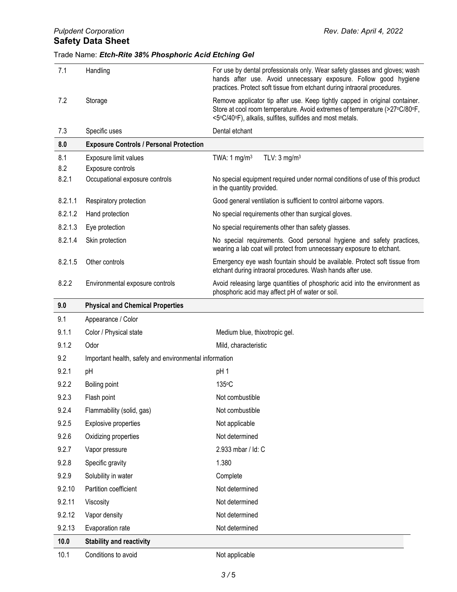| 7.1          | Handling                                               | For use by dental professionals only. Wear safety glasses and gloves; wash<br>hands after use. Avoid unnecessary exposure. Follow good hygiene                                                                                        |
|--------------|--------------------------------------------------------|---------------------------------------------------------------------------------------------------------------------------------------------------------------------------------------------------------------------------------------|
| 7.2          | Storage                                                | practices. Protect soft tissue from etchant during intraoral procedures.<br>Remove applicator tip after use. Keep tightly capped in original container.<br>Store at cool room temperature. Avoid extremes of temperature (>27°C/80°F, |
|              |                                                        | <5°C/40°F), alkalis, sulfites, sulfides and most metals.                                                                                                                                                                              |
| 7.3          | Specific uses                                          | Dental etchant                                                                                                                                                                                                                        |
| 8.0          | <b>Exposure Controls / Personal Protection</b>         |                                                                                                                                                                                                                                       |
| 8.1          | Exposure limit values                                  | TWA: 1 mg/m <sup>3</sup><br>TLV: $3 \text{ mg/m}^3$                                                                                                                                                                                   |
| 8.2<br>8.2.1 | Exposure controls<br>Occupational exposure controls    | No special equipment required under normal conditions of use of this product<br>in the quantity provided.                                                                                                                             |
| 8.2.1.1      | Respiratory protection                                 | Good general ventilation is sufficient to control airborne vapors.                                                                                                                                                                    |
| 8.2.1.2      | Hand protection                                        | No special requirements other than surgical gloves.                                                                                                                                                                                   |
| 8.2.1.3      | Eye protection                                         | No special requirements other than safety glasses.                                                                                                                                                                                    |
| 8.2.1.4      | Skin protection                                        | No special requirements. Good personal hygiene and safety practices,<br>wearing a lab coat will protect from unnecessary exposure to etchant.                                                                                         |
| 8.2.1.5      | Other controls                                         | Emergency eye wash fountain should be available. Protect soft tissue from<br>etchant during intraoral procedures. Wash hands after use.                                                                                               |
| 8.2.2        | Environmental exposure controls                        | Avoid releasing large quantities of phosphoric acid into the environment as<br>phosphoric acid may affect pH of water or soil.                                                                                                        |
| 9.0          | <b>Physical and Chemical Properties</b>                |                                                                                                                                                                                                                                       |
| 9.1          | Appearance / Color                                     |                                                                                                                                                                                                                                       |
|              |                                                        |                                                                                                                                                                                                                                       |
| 9.1.1        | Color / Physical state                                 | Medium blue, thixotropic gel.                                                                                                                                                                                                         |
| 9.1.2        | Odor                                                   | Mild, characteristic                                                                                                                                                                                                                  |
| 9.2          | Important health, safety and environmental information |                                                                                                                                                                                                                                       |
| 9.2.1        | pH                                                     | pH <sub>1</sub>                                                                                                                                                                                                                       |
| 9.2.2        | Boiling point                                          | 135°C                                                                                                                                                                                                                                 |
| 9.2.3        | Flash point                                            | Not combustible                                                                                                                                                                                                                       |
| 9.2.4        | Flammability (solid, gas)                              | Not combustible                                                                                                                                                                                                                       |
| 9.2.5        | Explosive properties                                   | Not applicable                                                                                                                                                                                                                        |
| 9.2.6        | Oxidizing properties                                   | Not determined                                                                                                                                                                                                                        |
| 9.2.7        | Vapor pressure                                         | 2.933 mbar / Id: C                                                                                                                                                                                                                    |
| 9.2.8        | Specific gravity                                       | 1.380                                                                                                                                                                                                                                 |
| 9.2.9        | Solubility in water                                    | Complete                                                                                                                                                                                                                              |
| 9.2.10       | Partition coefficient                                  | Not determined                                                                                                                                                                                                                        |
| 9.2.11       | Viscosity                                              | Not determined                                                                                                                                                                                                                        |
| 9.2.12       | Vapor density                                          | Not determined                                                                                                                                                                                                                        |
| 9.2.13       | Evaporation rate                                       | Not determined                                                                                                                                                                                                                        |
| 10.0         | <b>Stability and reactivity</b>                        |                                                                                                                                                                                                                                       |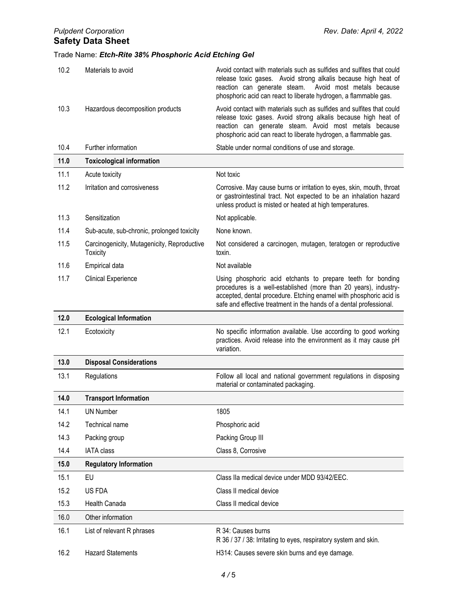| 10.2 | Materials to avoid                                             | Avoid contact with materials such as sulfides and sulfites that could<br>release toxic gases. Avoid strong alkalis because high heat of<br>reaction can generate steam.<br>Avoid most metals because<br>phosphoric acid can react to liberate hydrogen, a flammable gas.     |
|------|----------------------------------------------------------------|------------------------------------------------------------------------------------------------------------------------------------------------------------------------------------------------------------------------------------------------------------------------------|
| 10.3 | Hazardous decomposition products                               | Avoid contact with materials such as sulfides and sulfites that could<br>release toxic gases. Avoid strong alkalis because high heat of<br>reaction can generate steam. Avoid most metals because<br>phosphoric acid can react to liberate hydrogen, a flammable gas.        |
| 10.4 | Further information                                            | Stable under normal conditions of use and storage.                                                                                                                                                                                                                           |
| 11.0 | <b>Toxicological information</b>                               |                                                                                                                                                                                                                                                                              |
| 11.1 | Acute toxicity                                                 | Not toxic                                                                                                                                                                                                                                                                    |
| 11.2 | Irritation and corrosiveness                                   | Corrosive. May cause burns or irritation to eyes, skin, mouth, throat<br>or gastrointestinal tract. Not expected to be an inhalation hazard<br>unless product is misted or heated at high temperatures.                                                                      |
| 11.3 | Sensitization                                                  | Not applicable.                                                                                                                                                                                                                                                              |
| 11.4 | Sub-acute, sub-chronic, prolonged toxicity                     | None known.                                                                                                                                                                                                                                                                  |
| 11.5 | Carcinogenicity, Mutagenicity, Reproductive<br><b>Toxicity</b> | Not considered a carcinogen, mutagen, teratogen or reproductive<br>toxin.                                                                                                                                                                                                    |
| 11.6 | <b>Empirical data</b>                                          | Not available                                                                                                                                                                                                                                                                |
| 11.7 | <b>Clinical Experience</b>                                     | Using phosphoric acid etchants to prepare teeth for bonding<br>procedures is a well-established (more than 20 years), industry-<br>accepted, dental procedure. Etching enamel with phosphoric acid is<br>safe and effective treatment in the hands of a dental professional. |
|      |                                                                |                                                                                                                                                                                                                                                                              |
| 12.0 | <b>Ecological Information</b>                                  |                                                                                                                                                                                                                                                                              |
| 12.1 | Ecotoxicity                                                    | No specific information available. Use according to good working<br>practices. Avoid release into the environment as it may cause pH<br>variation.                                                                                                                           |
| 13.0 | <b>Disposal Considerations</b>                                 |                                                                                                                                                                                                                                                                              |
| 13.1 | Regulations                                                    | Follow all local and national government regulations in disposing<br>material or contaminated packaging.                                                                                                                                                                     |
| 14.0 | <b>Transport Information</b>                                   |                                                                                                                                                                                                                                                                              |
| 14.1 | <b>UN Number</b>                                               | 1805                                                                                                                                                                                                                                                                         |
| 14.2 | Technical name                                                 | Phosphoric acid                                                                                                                                                                                                                                                              |
| 14.3 | Packing group                                                  | Packing Group III                                                                                                                                                                                                                                                            |
| 14.4 | <b>IATA</b> class                                              | Class 8, Corrosive                                                                                                                                                                                                                                                           |
| 15.0 | <b>Regulatory Information</b>                                  |                                                                                                                                                                                                                                                                              |
| 15.1 | EU                                                             | Class IIa medical device under MDD 93/42/EEC.                                                                                                                                                                                                                                |
| 15.2 | US FDA                                                         | Class II medical device                                                                                                                                                                                                                                                      |
| 15.3 | Health Canada                                                  | Class II medical device                                                                                                                                                                                                                                                      |
| 16.0 | Other information                                              |                                                                                                                                                                                                                                                                              |
| 16.1 | List of relevant R phrases                                     | R 34: Causes burns<br>R 36 / 37 / 38: Irritating to eyes, respiratory system and skin.                                                                                                                                                                                       |